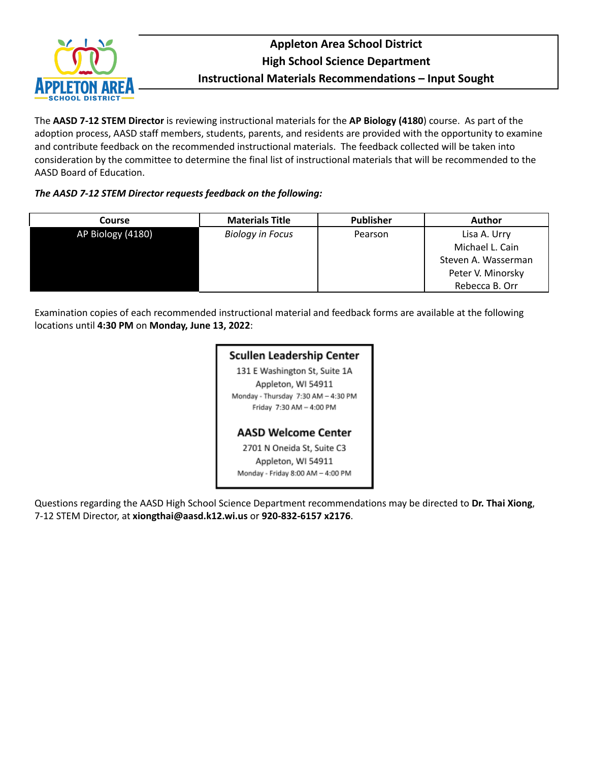

## **Appleton Area School District High School Science Department Instructional Materials Recommendations – Input Sought**

The **AASD 7-12 STEM Director** is reviewing instructional materials for the **AP Biology (4180**) course. As part of the adoption process, AASD staff members, students, parents, and residents are provided with the opportunity to examine and contribute feedback on the recommended instructional materials. The feedback collected will be taken into consideration by the committee to determine the final list of instructional materials that will be recommended to the AASD Board of Education.

#### *The AASD 7-12 STEM Director requests feedback on the following:*

| Course            | <b>Materials Title</b>  | <b>Publisher</b> | <b>Author</b>       |
|-------------------|-------------------------|------------------|---------------------|
| AP Biology (4180) | <b>Biology in Focus</b> | Pearson          | Lisa A. Urry        |
|                   |                         |                  | Michael L. Cain     |
|                   |                         |                  | Steven A. Wasserman |
|                   |                         |                  | Peter V. Minorsky   |
|                   |                         |                  | Rebecca B. Orr      |

Examination copies of each recommended instructional material and feedback forms are available at the following locations until **4:30 PM** on **Monday, June 13, 2022**:

### **Scullen Leadership Center**

131 E Washington St, Suite 1A Appleton, WI 54911 Monday - Thursday 7:30 AM - 4:30 PM Friday 7:30 AM - 4:00 PM

#### **AASD Welcome Center**

2701 N Oneida St, Suite C3 Appleton, WI 54911 Monday - Friday 8:00 AM - 4:00 PM

Questions regarding the AASD High School Science Department recommendations may be directed to **Dr. Thai Xiong**, 7-12 STEM Director, at **xiongthai@aasd.k12.wi.us** or **920-832-6157 x2176**.